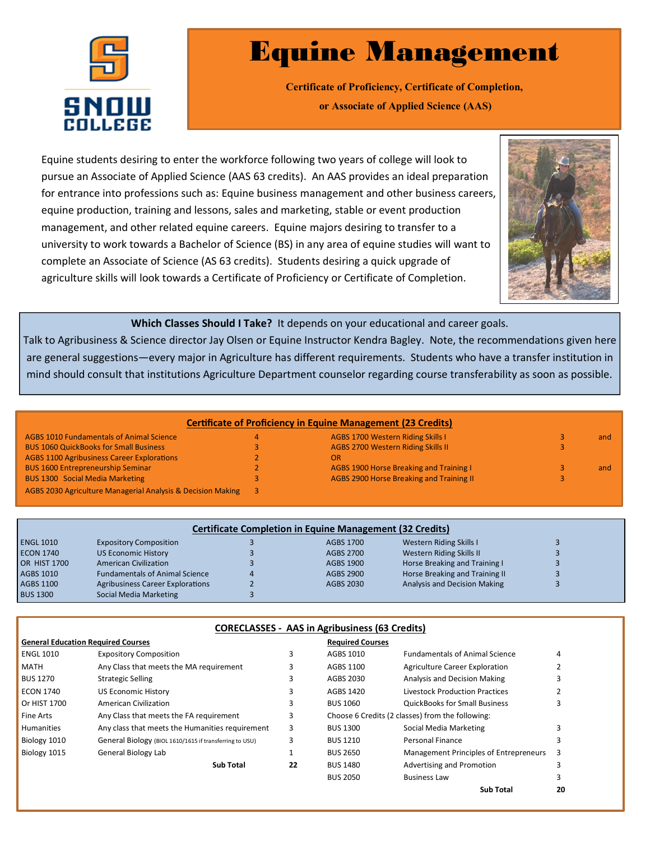

## Equine Management

**Certificate of Proficiency, Certificate of Completion, or Associate of Applied Science (AAS)**

Equine students desiring to enter the workforce following two years of college will look to pursue an Associate of Applied Science (AAS 63 credits). An AAS provides an ideal preparation for entrance into professions such as: Equine business management and other business careers, equine production, training and lessons, sales and marketing, stable or event production management, and other related equine careers. Equine majors desiring to transfer to a university to work towards a Bachelor of Science (BS) in any area of equine studies will want to complete an Associate of Science (AS 63 credits). Students desiring a quick upgrade of agriculture skills will look towards a Certificate of Proficiency or Certificate of Completion.



**Which Classes Should I Take?** It depends on your educational and career goals.

Talk to Agribusiness & Science director Jay Olsen or Equine Instructor Kendra Bagley. Note, the recommendations given here are general suggestions—every major in Agriculture has different requirements. Students who have a transfer institution in mind should consult that institutions Agriculture Department counselor regarding course transferability as soon as possible.

| <b>Certificate of Proficiency in Equine Management (23 Credits)</b> |  |                                          |  |     |
|---------------------------------------------------------------------|--|------------------------------------------|--|-----|
| <b>AGBS 1010 Fundamentals of Animal Science</b>                     |  | AGBS 1700 Western Riding Skills I        |  | and |
| <b>BUS 1060 QuickBooks for Small Business</b>                       |  | AGBS 2700 Western Riding Skills II       |  |     |
| <b>AGBS 1100 Agribusiness Career Explorations</b>                   |  | <b>OR</b>                                |  |     |
| <b>BUS 1600 Entrepreneurship Seminar</b>                            |  | AGBS 1900 Horse Breaking and Training I  |  | and |
| <b>BUS 1300 Social Media Marketing</b>                              |  | AGBS 2900 Horse Breaking and Training II |  |     |
| AGBS 2030 Agriculture Managerial Analysis & Decision Making         |  |                                          |  |     |

| <b>Certificate Completion in Equine Management (32 Credits)</b> |                                         |  |           |                                |  |  |  |
|-----------------------------------------------------------------|-----------------------------------------|--|-----------|--------------------------------|--|--|--|
| <b>ENGL 1010</b>                                                | <b>Expository Composition</b>           |  | AGBS 1700 | Western Riding Skills I        |  |  |  |
| <b>ECON 1740</b>                                                | <b>US Economic History</b>              |  | AGBS 2700 | Western Riding Skills II       |  |  |  |
| <b>OR HIST 1700</b>                                             | <b>American Civilization</b>            |  | AGBS 1900 | Horse Breaking and Training I  |  |  |  |
| <b>AGBS 1010</b>                                                | <b>Fundamentals of Animal Science</b>   |  | AGBS 2900 | Horse Breaking and Training II |  |  |  |
| <b>AGBS 1100</b>                                                | <b>Agribusiness Career Explorations</b> |  | AGBS 2030 | Analysis and Decision Making   |  |  |  |
| <b>BUS 1300</b>                                                 | Social Media Marketing                  |  |           |                                |  |  |  |

## **CORECLASSES - AAS in Agribusiness (63 Credits)**

| <b>General Education Required Courses</b> |                                                         |    | <b>Required Courses</b>                          |                                        |    |
|-------------------------------------------|---------------------------------------------------------|----|--------------------------------------------------|----------------------------------------|----|
| <b>ENGL 1010</b>                          | <b>Expository Composition</b>                           | 3  | AGBS 1010                                        | <b>Fundamentals of Animal Science</b>  | 4  |
| MATH                                      | Any Class that meets the MA requirement                 | 3  | AGBS 1100                                        | <b>Agriculture Career Exploration</b>  |    |
| <b>BUS 1270</b>                           | <b>Strategic Selling</b>                                | 3  | AGBS 2030                                        | <b>Analysis and Decision Making</b>    |    |
| <b>ECON 1740</b>                          | <b>US Economic History</b>                              | 3  | AGBS 1420                                        | Livestock Production Practices         |    |
| Or HIST 1700                              | <b>American Civilization</b>                            | 3  | <b>BUS 1060</b>                                  | <b>QuickBooks for Small Business</b>   |    |
| <b>Fine Arts</b>                          | Any Class that meets the FA requirement                 | 3  | Choose 6 Credits (2 classes) from the following: |                                        |    |
| <b>Humanities</b>                         | Any class that meets the Humanities requirement         | 3  | <b>BUS 1300</b>                                  | Social Media Marketing                 |    |
| Biology 1010                              | General Biology (BIOL 1610/1615 if transferring to USU) | 3  | <b>BUS 1210</b>                                  | Personal Finance                       |    |
| Biology 1015                              | General Biology Lab                                     |    | <b>BUS 2650</b>                                  | Management Principles of Entrepreneurs | 3  |
|                                           | <b>Sub Total</b>                                        | 22 | <b>BUS 1480</b>                                  | Advertising and Promotion              |    |
|                                           |                                                         |    | <b>BUS 2050</b>                                  | <b>Business Law</b>                    |    |
|                                           |                                                         |    |                                                  | Sub Total                              | 20 |